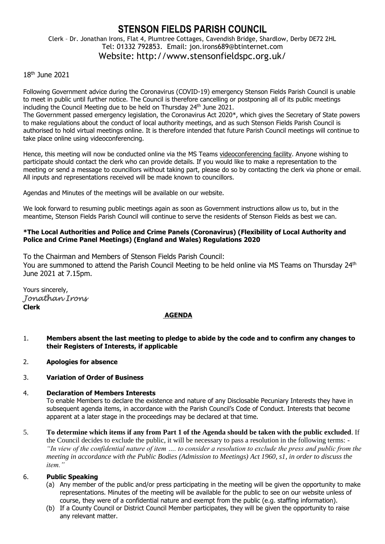# **STENSON FIELDS PARISH COUNCIL** Clerk – Dr. Jonathan Irons, Flat 4, Plumtree Cottages, Cavendish Bridge, Shardlow, Derby DE72 2HL Tel: 01332 792853. Email: jon.irons689@btinternet.com Website: http://www.stensonfieldspc.org.uk/

## 18th June 2021

Following Government advice during the Coronavirus (COVID-19) emergency Stenson Fields Parish Council is unable to meet in public until further notice. The Council is therefore cancelling or postponing all of its public meetings including the Council Meeting due to be held on Thursday 24<sup>th</sup> June 2021.

The Government passed emergency legislation, the Coronavirus Act 2020\*, which gives the Secretary of State powers to make regulations about the conduct of local authority meetings, and as such Stenson Fields Parish Council is authorised to hold virtual meetings online. It is therefore intended that future Parish Council meetings will continue to take place online using videoconferencing.

Hence, this meeting will now be conducted online via the MS Teams videoconferencing facility. Anyone wishing to participate should contact the clerk who can provide details. If you would like to make a representation to the meeting or send a message to councillors without taking part, please do so by contacting the clerk via phone or email. All inputs and representations received will be made known to councillors.

Agendas and Minutes of the meetings will be available on our website.

We look forward to resuming public meetings again as soon as Government instructions allow us to, but in the meantime, Stenson Fields Parish Council will continue to serve the residents of Stenson Fields as best we can.

### **\*The Local Authorities and Police and Crime Panels (Coronavirus) (Flexibility of Local Authority and Police and Crime Panel Meetings) (England and Wales) Regulations 2020**

To the Chairman and Members of Stenson Fields Parish Council: You are summoned to attend the Parish Council Meeting to be held online via MS Teams on Thursday 24th June 2021 at 7.15pm.

Yours sincerely, *Jonathan Irons*  **Clerk**

#### **AGENDA**

- 1. **Members absent the last meeting to pledge to abide by the code and to confirm any changes to their Registers of Interests, if applicable**
- 2. **Apologies for absence**

## 3. **Variation of Order of Business**

#### 4. **Declaration of Members Interests**

To enable Members to declare the existence and nature of any Disclosable Pecuniary Interests they have in subsequent agenda items, in accordance with the Parish Council's Code of Conduct. Interests that become apparent at a later stage in the proceedings may be declared at that time.

5. **To determine which items if any from Part 1 of the Agenda should be taken with the public excluded**. If the Council decides to exclude the public, it will be necessary to pass a resolution in the following terms: - *"In view of the confidential nature of item …. to consider a resolution to exclude the press and public from the meeting in accordance with the Public Bodies (Admission to Meetings) Act 1960, s1, in order to discuss the item."* 

#### 6. **Public Speaking**

- (a) Any member of the public and/or press participating in the meeting will be given the opportunity to make representations. Minutes of the meeting will be available for the public to see on our website unless of course, they were of a confidential nature and exempt from the public (e.g. staffing information).
- (b) If a County Council or District Council Member participates, they will be given the opportunity to raise any relevant matter.